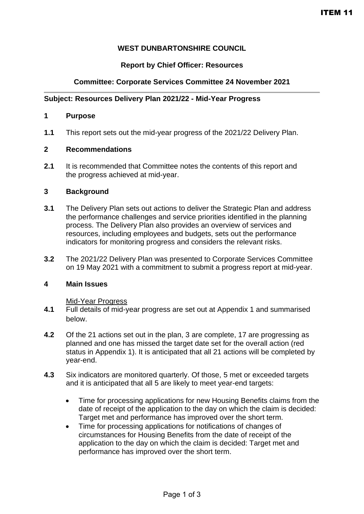# **WEST DUNBARTONSHIRE COUNCIL**

# **Report by Chief Officer: Resources**

# **Committee: Corporate Services Committee 24 November 2021**

### **Subject: Resources Delivery Plan 2021/22 - Mid-Year Progress**

#### **1 Purpose**

**1.1** This report sets out the mid-year progress of the 2021/22 Delivery Plan.

#### **2 Recommendations**

**2.1** It is recommended that Committee notes the contents of this report and the progress achieved at mid-year.

### **3 Background**

- **3.1** The Delivery Plan sets out actions to deliver the Strategic Plan and address the performance challenges and service priorities identified in the planning process. The Delivery Plan also provides an overview of services and resources, including employees and budgets, sets out the performance indicators for monitoring progress and considers the relevant risks.
- **3.2** The 2021/22 Delivery Plan was presented to Corporate Services Committee on 19 May 2021 with a commitment to submit a progress report at mid-year.

### **4 Main Issues**

#### Mid-Year Progress

- **4.1** Full details of mid-year progress are set out at Appendix 1 and summarised below.
- **4.2** Of the 21 actions set out in the plan, 3 are complete, 17 are progressing as planned and one has missed the target date set for the overall action (red status in Appendix 1). It is anticipated that all 21 actions will be completed by year-end.
- **4.3** Six indicators are monitored quarterly. Of those, 5 met or exceeded targets and it is anticipated that all 5 are likely to meet year-end targets:
	- Time for processing applications for new Housing Benefits claims from the date of receipt of the application to the day on which the claim is decided: Target met and performance has improved over the short term.
	- Time for processing applications for notifications of changes of circumstances for Housing Benefits from the date of receipt of the application to the day on which the claim is decided: Target met and performance has improved over the short term.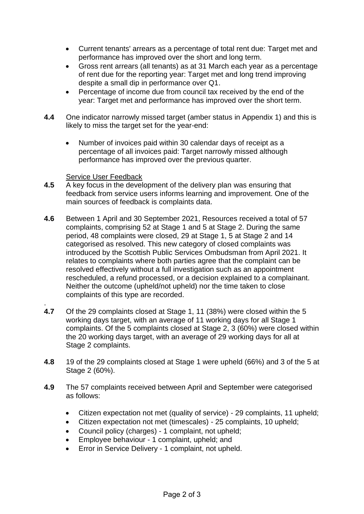- Current tenants' arrears as a percentage of total rent due: Target met and performance has improved over the short and long term.
- Gross rent arrears (all tenants) as at 31 March each year as a percentage of rent due for the reporting year: Target met and long trend improving despite a small dip in performance over Q1.
- Percentage of income due from council tax received by the end of the year: Target met and performance has improved over the short term.
- **4.4** One indicator narrowly missed target (amber status in Appendix 1) and this is likely to miss the target set for the year-end:
	- Number of invoices paid within 30 calendar days of receipt as a percentage of all invoices paid: Target narrowly missed although performance has improved over the previous quarter.

## Service User Feedback

.

- **4.5** A key focus in the development of the delivery plan was ensuring that feedback from service users informs learning and improvement. One of the main sources of feedback is complaints data.
- **4.6** Between 1 April and 30 September 2021, Resources received a total of 57 complaints, comprising 52 at Stage 1 and 5 at Stage 2. During the same period, 48 complaints were closed, 29 at Stage 1, 5 at Stage 2 and 14 categorised as resolved. This new category of closed complaints was introduced by the Scottish Public Services Ombudsman from April 2021. It relates to complaints where both parties agree that the complaint can be resolved effectively without a full investigation such as an appointment rescheduled, a refund processed, or a decision explained to a complainant. Neither the outcome (upheld/not upheld) nor the time taken to close complaints of this type are recorded.
- **4.7** Of the 29 complaints closed at Stage 1, 11 (38%) were closed within the 5 working days target, with an average of 11 working days for all Stage 1 complaints. Of the 5 complaints closed at Stage 2, 3 (60%) were closed within the 20 working days target, with an average of 29 working days for all at Stage 2 complaints.
- **4.8** 19 of the 29 complaints closed at Stage 1 were upheld (66%) and 3 of the 5 at Stage 2 (60%).
- **4.9** The 57 complaints received between April and September were categorised as follows:
	- Citizen expectation not met (quality of service) 29 complaints, 11 upheld;
	- Citizen expectation not met (timescales) 25 complaints, 10 upheld;
	- Council policy (charges) 1 complaint, not upheld;
	- Employee behaviour 1 complaint, upheld; and
	- Error in Service Delivery 1 complaint, not upheld.